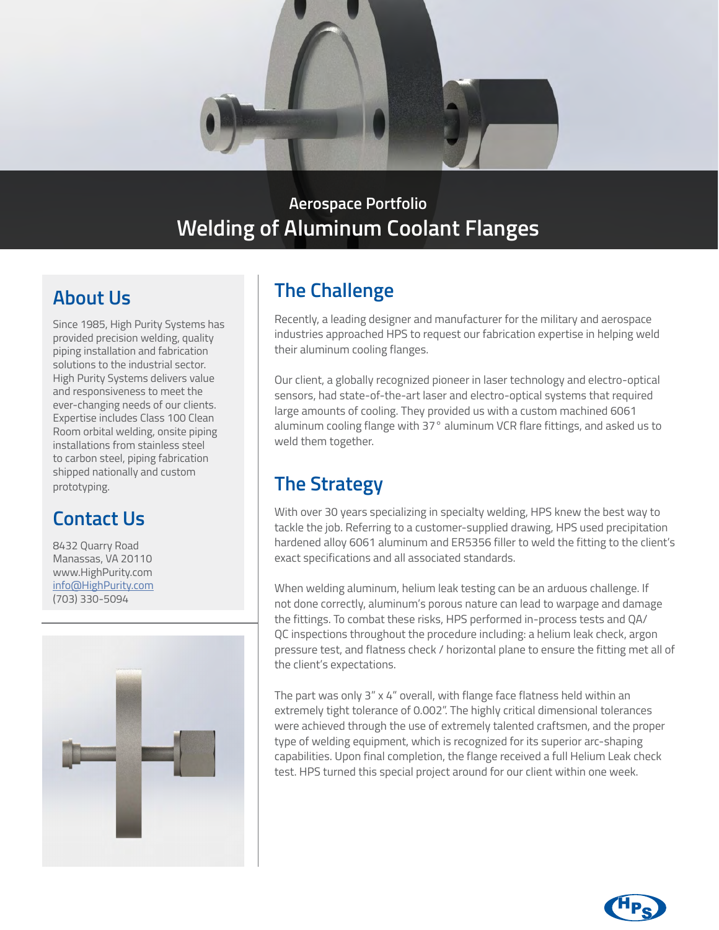

### **Aerospace Portfolio Welding of Aluminum Coolant Flanges**

### **About Us**

Since 1985, High Purity Systems has provided precision welding, quality piping installation and fabrication solutions to the industrial sector. High Purity Systems delivers value and responsiveness to meet the ever-changing needs of our clients. Expertise includes Class 100 Clean Room orbital welding, onsite piping installations from stainless steel to carbon steel, piping fabrication shipped nationally and custom prototyping.

## **Contact Us**

8432 Quarry Road Manassas, VA 20110 www.HighPurity.com [info@HighPurity.com](mailto:info%40HighPurity.com?subject=) (703) 330-5094



## **The Challenge**

Recently, a leading designer and manufacturer for the military and aerospace industries approached HPS to request our fabrication expertise in helping weld their aluminum cooling flanges.

Our client, a globally recognized pioneer in laser technology and electro-optical sensors, had state-of-the-art laser and electro-optical systems that required large amounts of cooling. They provided us with a custom machined 6061 aluminum cooling flange with 37° aluminum VCR flare fittings, and asked us to weld them together.

# **The Strategy**

With over 30 years specializing in specialty welding, HPS knew the best way to tackle the job. Referring to a customer-supplied drawing, HPS used precipitation hardened alloy 6061 aluminum and ER5356 filler to weld the fitting to the client's exact specifications and all associated standards.

When welding aluminum, helium leak testing can be an arduous challenge. If not done correctly, aluminum's porous nature can lead to warpage and damage the fittings. To combat these risks, HPS performed in-process tests and QA/ QC inspections throughout the procedure including: a helium leak check, argon pressure test, and flatness check / horizontal plane to ensure the fitting met all of the client's expectations.

The part was only 3" x 4" overall, with flange face flatness held within an extremely tight tolerance of 0.002". The highly critical dimensional tolerances were achieved through the use of extremely talented craftsmen, and the proper type of welding equipment, which is recognized for its superior arc-shaping capabilities. Upon final completion, the flange received a full Helium Leak check test. HPS turned this special project around for our client within one week.